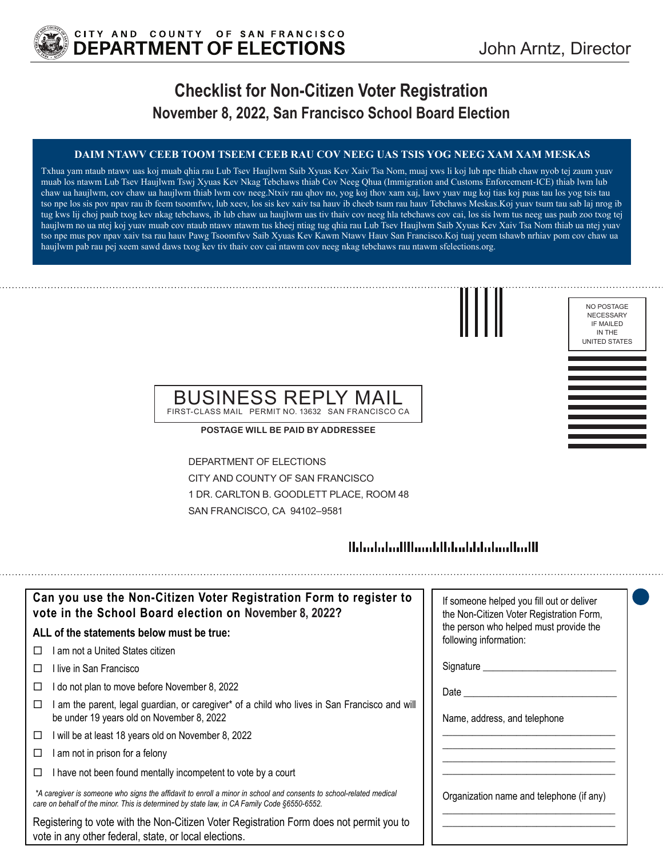

## **Checklist for Non-Citizen Voter Registration November 8, 2022, San Francisco School Board Election**

### **DAIM NTAWV CEEB TOOM TSEEM CEEB RAU COV NEEG UAS TSIS YOG NEEG XAM XAM MESKAS**

Txhua yam ntaub ntawv uas koj muab qhia rau Lub Tsev Haujlwm Saib Xyuas Kev Xaiv Tsa Nom, muaj xws li koj lub npe thiab chaw nyob tej zaum yuav muab los ntawm Lub Tsev Haujlwm Tswj Xyuas Kev Nkag Tebchaws thiab Cov Neeg Qhua (Immigration and Customs Enforcement-ICE) thiab lwm lub chaw ua haujlwm, cov chaw ua haujlwm thiab lwm cov neeg.Ntxiv rau qhov no, yog koj thov xam xaj, lawv yuav nug koj tias koj puas tau los yog tsis tau tso npe los sis pov npav rau ib feem tsoomfwv, lub xeev, los sis kev xaiv tsa hauv ib cheeb tsam rau hauv Tebchaws Meskas.Koj yuav tsum tau sab laj nrog ib tug kws lij choj paub txog kev nkag tebchaws, ib lub chaw ua haujlwm uas tiv thaiv cov neeg hla tebchaws cov cai, los sis lwm tus neeg uas paub zoo txog tej haujlwm no ua ntej koj yuav muab cov ntaub ntawv ntawm tus kheej ntiag tug qhia rau Lub Tsev Haujlwm Saib Xyuas Kev Xaiv Tsa Nom thiab ua ntej yuav tso npe mus pov npav xaiv tsa rau hauv Pawg Tsoomfwv Saib Xyuas Kev Kawm Ntawv Hauv San Francisco.Koj tuaj yeem tshawb nrhiav pom cov chaw ua haujlwm pab rau pej xeem sawd daws txog kev tiv thaiv cov cai ntawm cov neeg nkag tebchaws rau ntawm sfelections.org.



NO POSTAGE NECESSARY IF MAILED IN THE UNITED STATES

### BUSINESS REPLY MAIL FIRST-CLASS MAIL PERMIT NO. 13632 SAN FRANCISCO CA

**POSTAGE WILL BE PAID BY ADDRESSEE**

DEPARTMENT OF ELECTIONS CITY AND COUNTY OF SAN FRANCISCO 1 DR. CARLTON B. GOODLETT PLACE, ROOM 48 SAN FRANCISCO, CA 94102–9581

## 

| Can you use the Non-Citizen Voter Registration Form to register to<br>vote in the School Board election on November 8, 2022?                                                                                      | If someone helped you fill out or deliver<br>the Non-Citizen Voter Registration Form, |
|-------------------------------------------------------------------------------------------------------------------------------------------------------------------------------------------------------------------|---------------------------------------------------------------------------------------|
| ALL of the statements below must be true:                                                                                                                                                                         | the person who helped must provide the<br>following information:                      |
| I am not a United States citizen<br>$\perp$                                                                                                                                                                       |                                                                                       |
| l live in San Francisco                                                                                                                                                                                           | Signature                                                                             |
| I do not plan to move before November 8, 2022                                                                                                                                                                     | Date                                                                                  |
| am the parent, legal guardian, or caregiver* of a child who lives in San Francisco and will<br>be under 19 years old on November 8, 2022                                                                          | Name, address, and telephone                                                          |
| I will be at least 18 years old on November 8, 2022<br>□                                                                                                                                                          |                                                                                       |
| am not in prison for a felony                                                                                                                                                                                     |                                                                                       |
| I have not been found mentally incompetent to vote by a court                                                                                                                                                     |                                                                                       |
| *A caregiver is someone who signs the affidavit to enroll a minor in school and consents to school-related medical<br>care on behalf of the minor. This is determined by state law, in CA Family Code §6550-6552. | Organization name and telephone (if any)                                              |
| Registering to vote with the Non-Citizen Voter Registration Form does not permit you to<br>vote in any other federal, state, or local elections.                                                                  |                                                                                       |